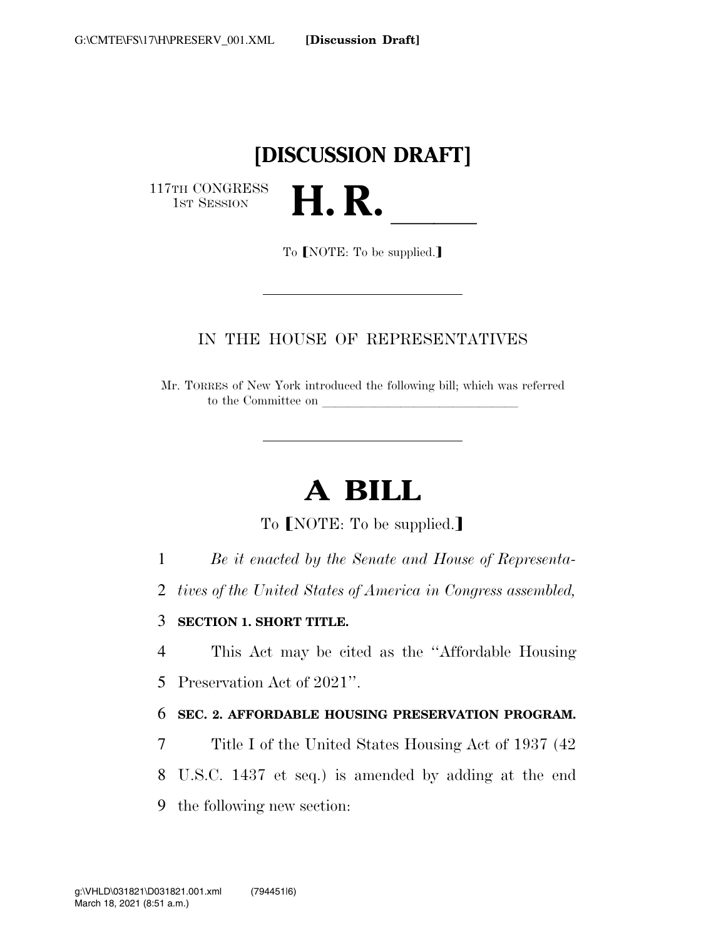## **[DISCUSSION DRAFT]**

H. R.

117TH CONGRESS<br>1st Session

To **[NOTE**: To be supplied.**]** 

#### IN THE HOUSE OF REPRESENTATIVES

Mr. TORRES of New York introduced the following bill; which was referred to the Committee on

# **A BILL**

To **[NOTE:** To be supplied.**]** 

- 1 *Be it enacted by the Senate and House of Representa-*
- 2 *tives of the United States of America in Congress assembled,*

#### 3 **SECTION 1. SHORT TITLE.**

4 This Act may be cited as the ''Affordable Housing 5 Preservation Act of 2021''.

#### 6 **SEC. 2. AFFORDABLE HOUSING PRESERVATION PROGRAM.**

7 Title I of the United States Housing Act of 1937 (42

- 8 U.S.C. 1437 et seq.) is amended by adding at the end
- 9 the following new section: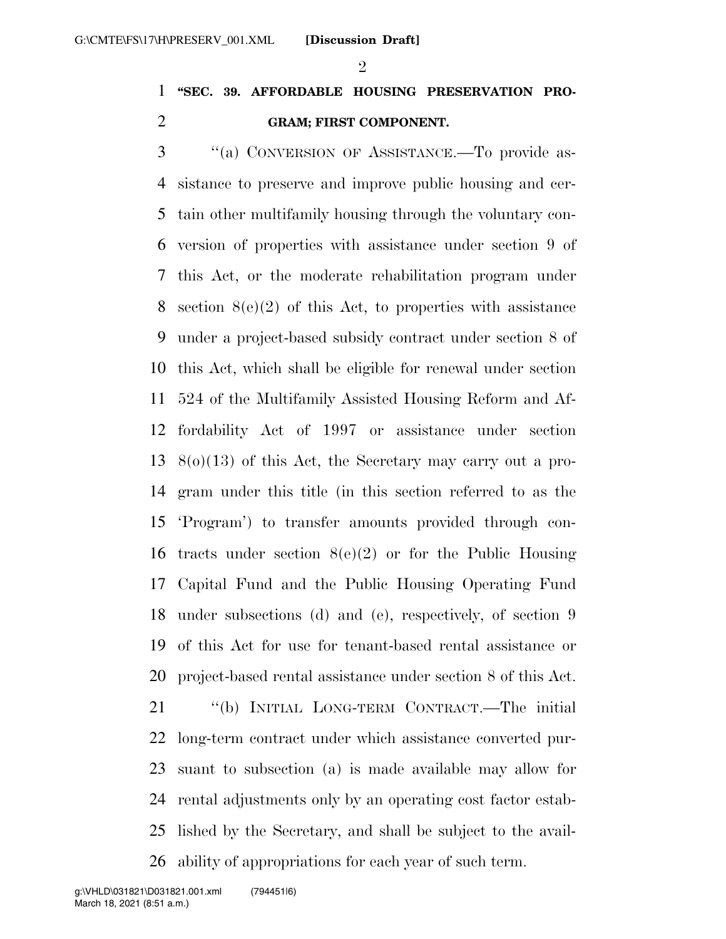$\mathfrak{D}$ 

## **''SEC. 39. AFFORDABLE HOUSING PRESERVATION PRO-GRAM; FIRST COMPONENT.**

 ''(a) CONVERSION OF ASSISTANCE.—To provide as- sistance to preserve and improve public housing and cer- tain other multifamily housing through the voluntary con- version of properties with assistance under section 9 of this Act, or the moderate rehabilitation program under 8 section  $8(e)(2)$  of this Act, to properties with assistance under a project-based subsidy contract under section 8 of this Act, which shall be eligible for renewal under section 524 of the Multifamily Assisted Housing Reform and Af- fordability Act of 1997 or assistance under section 8(o)(13) of this Act, the Secretary may carry out a pro- gram under this title (in this section referred to as the 'Program') to transfer amounts provided through con- tracts under section 8(e)(2) or for the Public Housing Capital Fund and the Public Housing Operating Fund under subsections (d) and (e), respectively, of section 9 of this Act for use for tenant-based rental assistance or project-based rental assistance under section 8 of this Act. ''(b) INITIAL LONG-TERM CONTRACT.—The initial

 long-term contract under which assistance converted pur- suant to subsection (a) is made available may allow for rental adjustments only by an operating cost factor estab- lished by the Secretary, and shall be subject to the avail-ability of appropriations for each year of such term.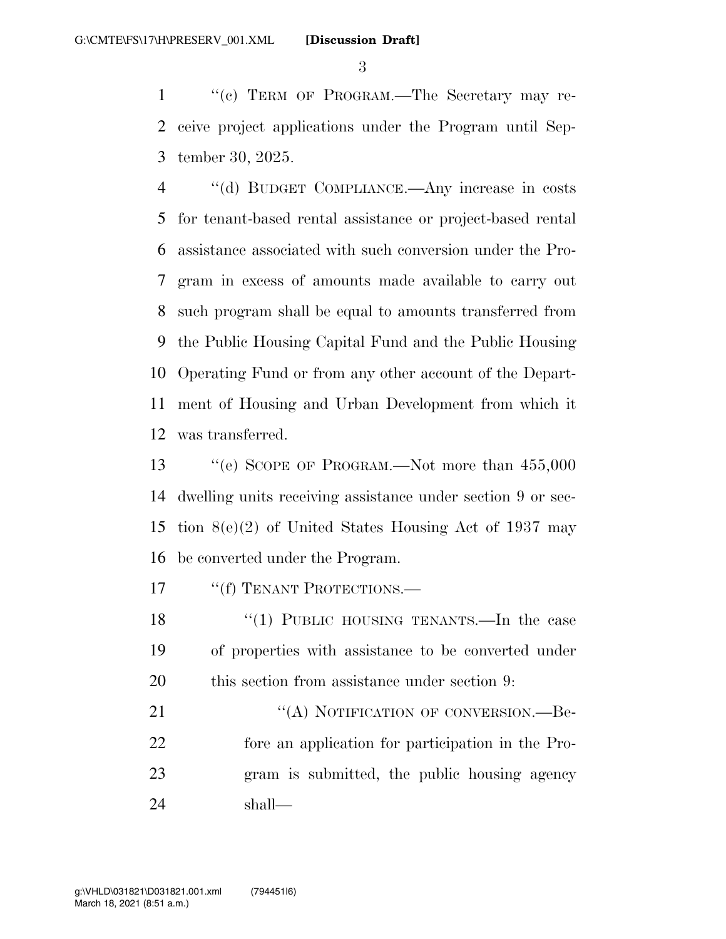''(c) TERM OF PROGRAM.—The Secretary may re- ceive project applications under the Program until Sep-tember 30, 2025.

 ''(d) BUDGET COMPLIANCE.—Any increase in costs for tenant-based rental assistance or project-based rental assistance associated with such conversion under the Pro- gram in excess of amounts made available to carry out such program shall be equal to amounts transferred from the Public Housing Capital Fund and the Public Housing Operating Fund or from any other account of the Depart- ment of Housing and Urban Development from which it was transferred.

 ''(e) SCOPE OF PROGRAM.—Not more than 455,000 dwelling units receiving assistance under section 9 or sec- tion 8(e)(2) of United States Housing Act of 1937 may be converted under the Program.

17 <sup>"</sup>(f) TENANT PROTECTIONS.—

18 "(1) PUBLIC HOUSING TENANTS.—In the case of properties with assistance to be converted under 20 this section from assistance under section 9:

21 "(A) NOTIFICATION OF CONVERSION.—Be- fore an application for participation in the Pro- gram is submitted, the public housing agency shall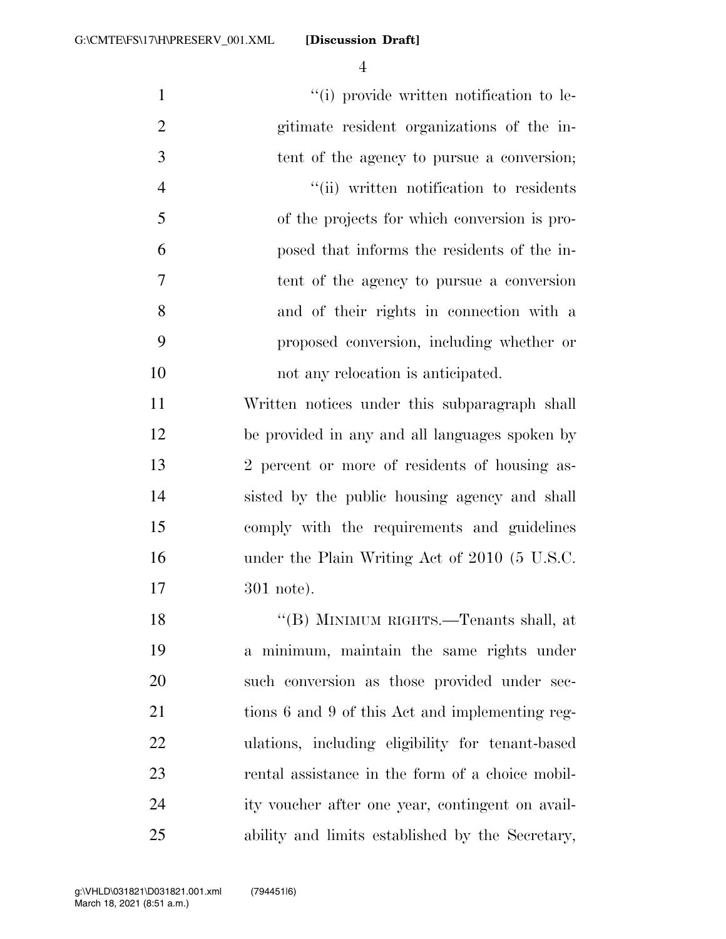**[Discussion Draft]** 

 $\frac{1}{1}$   $\frac{1}{1}$  is provide written notification to le- gitimate resident organizations of the in- tent of the agency to pursue a conversion;  $"$ (ii) written notification to residents of the projects for which conversion is pro- posed that informs the residents of the in- tent of the agency to pursue a conversion and of their rights in connection with a proposed conversion, including whether or 10 not any relocation is anticipated. Written notices under this subparagraph shall be provided in any and all languages spoken by 2 percent or more of residents of housing as- sisted by the public housing agency and shall comply with the requirements and guidelines 16 under the Plain Writing Act of 2010 (5 U.S.C. 301 note). ''(B) MINIMUM RIGHTS.—Tenants shall, at a minimum, maintain the same rights under such conversion as those provided under sec- tions 6 and 9 of this Act and implementing reg- ulations, including eligibility for tenant-based rental assistance in the form of a choice mobil-ity voucher after one year, contingent on avail-

ability and limits established by the Secretary,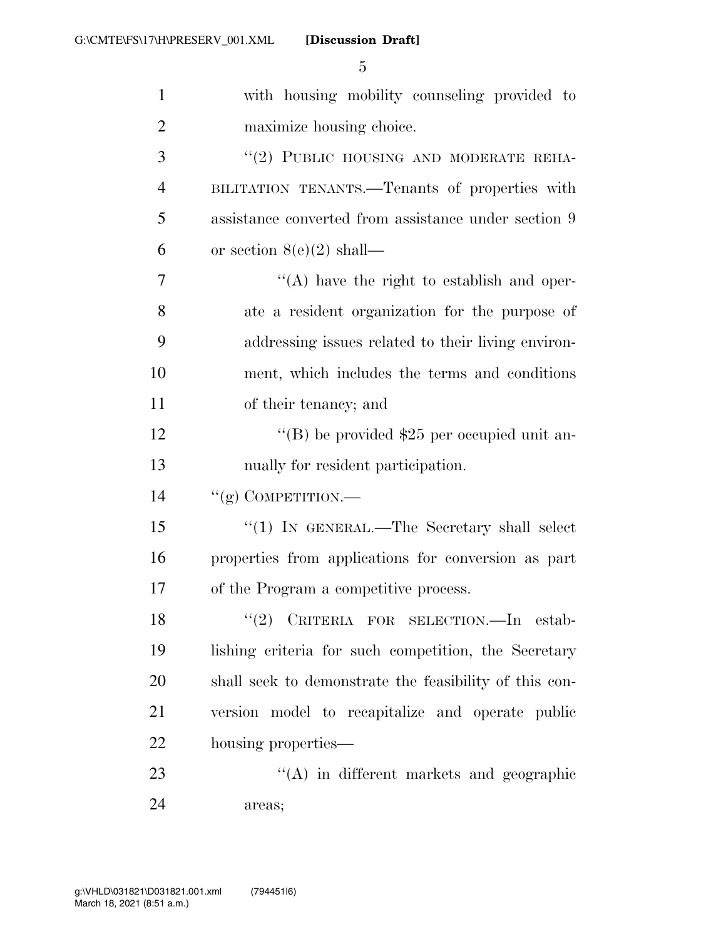| $\mathbf{1}$   | with housing mobility counseling provided to           |
|----------------|--------------------------------------------------------|
| $\overline{2}$ | maximize housing choice.                               |
| 3              | "(2) PUBLIC HOUSING AND MODERATE REHA-                 |
| $\overline{4}$ | BILITATION TENANTS.-Tenants of properties with         |
| 5              | assistance converted from assistance under section 9   |
| 6              | or section $8(e)(2)$ shall—                            |
| 7              | $\lq\lq$ have the right to establish and oper-         |
| 8              | ate a resident organization for the purpose of         |
| 9              | addressing issues related to their living environ-     |
| 10             | ment, which includes the terms and conditions          |
| 11             | of their tenancy; and                                  |
| 12             | "(B) be provided $$25$ per occupied unit an-           |
| 13             | nually for resident participation.                     |
| 14             | "(g) COMPETITION.—                                     |
| 15             | "(1) IN GENERAL.—The Secretary shall select            |
| 16             | properties from applications for conversion as part    |
| 17             | of the Program a competitive process.                  |
| 18             | "(2) CRITERIA FOR SELECTION. In estab-                 |
| 19             | lishing criteria for such competition, the Secretary   |
| 20             | shall seek to demonstrate the feasibility of this con- |
| 21             | version model to recapitalize and operate public       |
| 22             | housing properties—                                    |
| 23             | $\lq\lq$ in different markets and geographic           |
| 24             | areas;                                                 |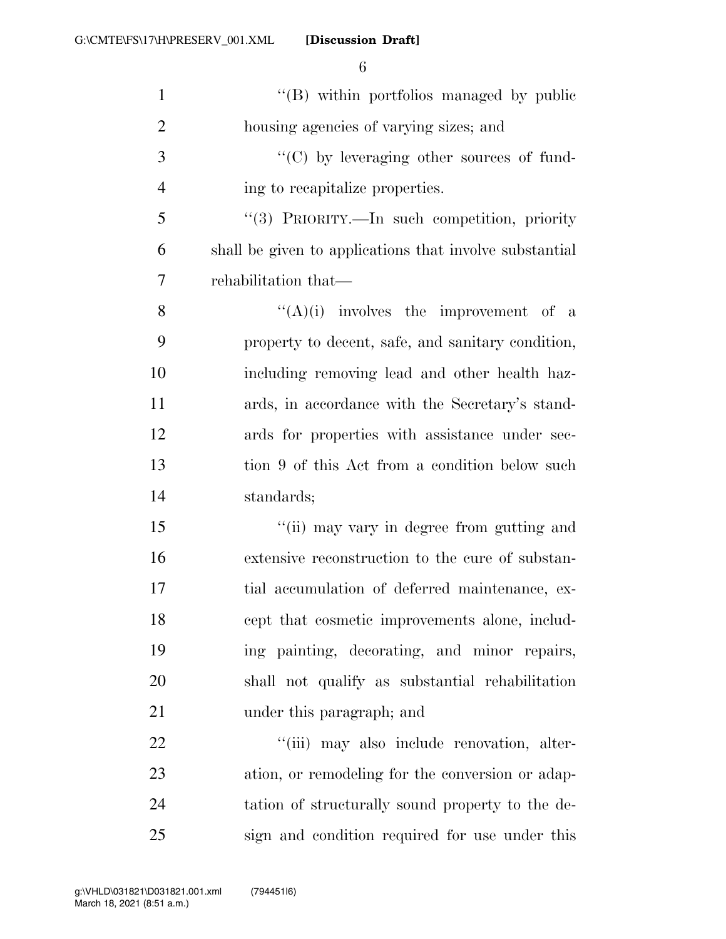| $\mathbf{1}$   | "(B) within portfolios managed by public                |
|----------------|---------------------------------------------------------|
| $\mathfrak{2}$ | housing agencies of varying sizes; and                  |
| 3              | $\lq\lq$ (C) by leveraging other sources of fund-       |
| $\overline{4}$ | ing to recapitalize properties.                         |
| 5              | "(3) PRIORITY.—In such competition, priority            |
| 6              | shall be given to applications that involve substantial |
| $\overline{7}$ | rehabilitation that—                                    |
| 8              | " $(A)(i)$ involves the improvement of a                |
| 9              | property to decent, safe, and sanitary condition,       |
| 10             | including removing lead and other health haz-           |
| 11             | ards, in accordance with the Secretary's stand-         |
| 12             | ards for properties with assistance under sec-          |
| 13             | tion 9 of this Act from a condition below such          |
| 14             | standards;                                              |
| 15             | "(ii) may vary in degree from gutting and               |
| 16             | extensive reconstruction to the cure of substan-        |
| 17             | tial accumulation of deferred maintenance, ex-          |
| 18             | cept that cosmetic improvements alone, includ-          |
| 19             | ing painting, decorating, and minor repairs,            |
| 20             | shall not qualify as substantial rehabilitation         |
| 21             | under this paragraph; and                               |
| 22             | "(iii) may also include renovation, alter-              |
| 23             | ation, or remodeling for the conversion or adap-        |
| 24             | tation of structurally sound property to the de-        |
| 25             | sign and condition required for use under this          |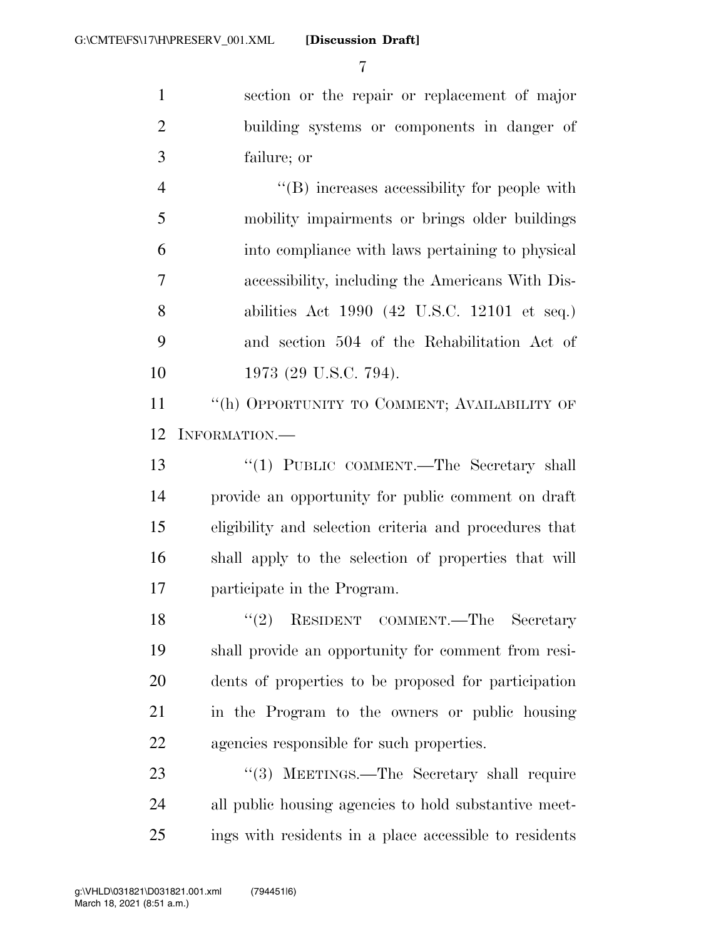section or the repair or replacement of major building systems or components in danger of failure; or

 ''(B) increases accessibility for people with mobility impairments or brings older buildings into compliance with laws pertaining to physical accessibility, including the Americans With Dis- abilities Act 1990 (42 U.S.C. 12101 et seq.) and section 504 of the Rehabilitation Act of 10 1973 (29 U.S.C. 794).

11 "(h) OPPORTUNITY TO COMMENT; AVAILABILITY OF INFORMATION.—

 ''(1) PUBLIC COMMENT.—The Secretary shall provide an opportunity for public comment on draft eligibility and selection criteria and procedures that shall apply to the selection of properties that will participate in the Program.

18 ''(2) RESIDENT COMMENT.—The Secretary shall provide an opportunity for comment from resi- dents of properties to be proposed for participation in the Program to the owners or public housing agencies responsible for such properties.

23 "(3) MEETINGS.—The Secretary shall require all public housing agencies to hold substantive meet-ings with residents in a place accessible to residents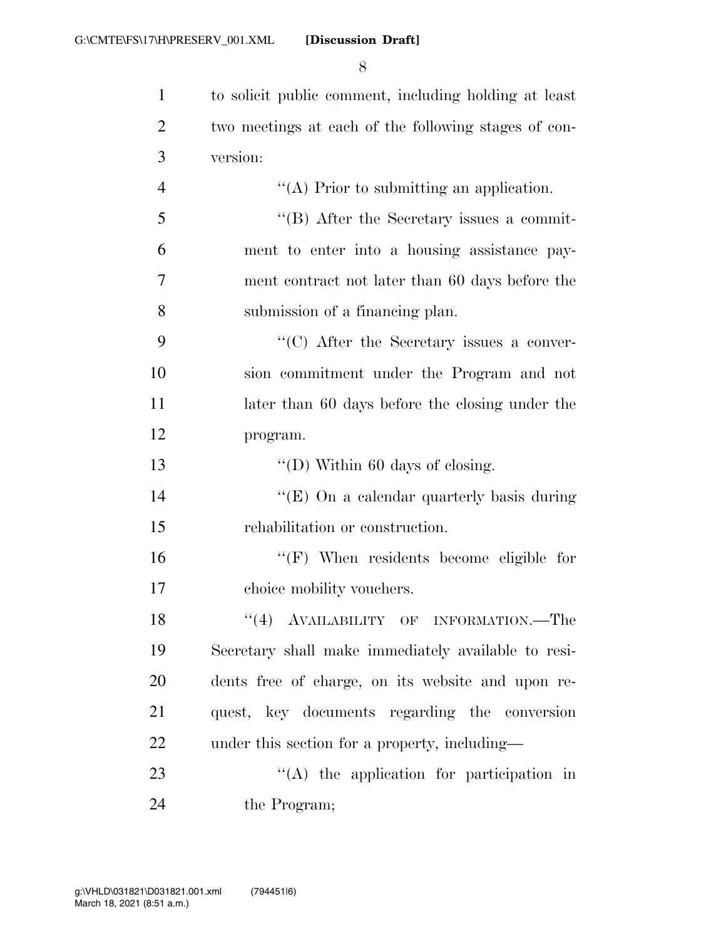| $\mathbf{1}$   | to solicit public comment, including holding at least |
|----------------|-------------------------------------------------------|
| $\overline{2}$ | two meetings at each of the following stages of con-  |
| 3              | version:                                              |
| $\overline{4}$ | "(A) Prior to submitting an application.              |
| 5              | $\lq\lq (B)$ After the Secretary issues a commit-     |
| 6              | ment to enter into a housing assistance pay-          |
| 7              | ment contract not later than 60 days before the       |
| 8              | submission of a financing plan.                       |
| 9              | "(C) After the Secretary issues a conver-             |
| 10             | sion commitment under the Program and not             |
| 11             | later than 60 days before the closing under the       |
| 12             | program.                                              |
| 13             | "(D) Within 60 days of closing.                       |
| 14             | "(E) On a calendar quarterly basis during             |
| 15             | rehabilitation or construction.                       |
| 16             | "(F) When residents become eligible for               |
| 17             | choice mobility vouchers.                             |
| 18             | (4)<br>AVAILABILITY OF INFORMATION.—The               |
| 19             | Secretary shall make immediately available to resi-   |
| 20             | dents free of charge, on its website and upon re-     |
| 21             | quest, key documents regarding the conversion         |
| 22             | under this section for a property, including—         |
| 23             | $\lq\lq$ the application for participation in         |
| 24             | the Program;                                          |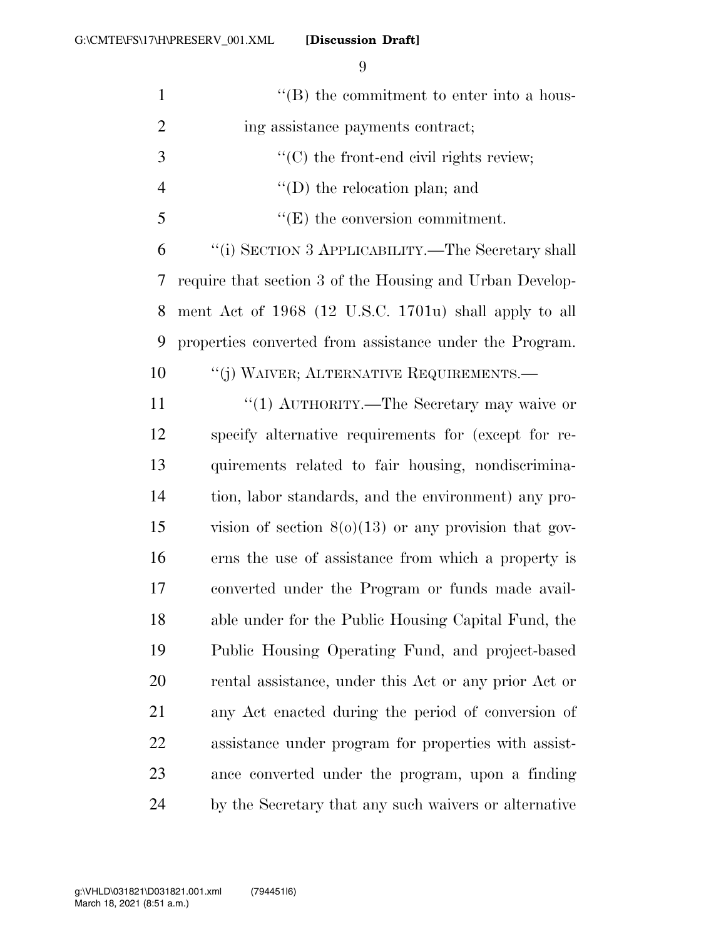| $\mathbf{1}$   | $\lq\lq (B)$ the commitment to enter into a hous-        |
|----------------|----------------------------------------------------------|
| $\overline{2}$ | ing assistance payments contract;                        |
| 3              | $\lq\lq$ the front-end civil rights review;              |
| $\overline{4}$ | $\lq\lq$ (D) the relocation plan; and                    |
| 5              | $\lq\lq(E)$ the conversion commitment.                   |
| 6              | "(i) SECTION 3 APPLICABILITY.—The Secretary shall        |
| 7              | require that section 3 of the Housing and Urban Develop- |
| 8              | ment Act of 1968 (12 U.S.C. 1701u) shall apply to all    |
| 9              | properties converted from assistance under the Program.  |
| 10             | "(j) WAIVER; ALTERNATIVE REQUIREMENTS.—                  |
| 11             | "(1) AUTHORITY.—The Secretary may waive or               |
| 12             | specify alternative requirements for (except for re-     |
| 13             | quirements related to fair housing, nondiscrimina-       |
| 14             | tion, labor standards, and the environment) any pro-     |
| 15             | vision of section $8(0)(13)$ or any provision that gov-  |
| 16             | erns the use of assistance from which a property is      |
| 17             | converted under the Program or funds made avail-         |
| 18             | able under for the Public Housing Capital Fund, the      |
| 19             | Public Housing Operating Fund, and project-based         |
| 20             | rental assistance, under this Act or any prior Act or    |
| 21             | any Act enacted during the period of conversion of       |
| 22             | assistance under program for properties with assist-     |
| 23             | ance converted under the program, upon a finding         |
| 24             | by the Secretary that any such waivers or alternative    |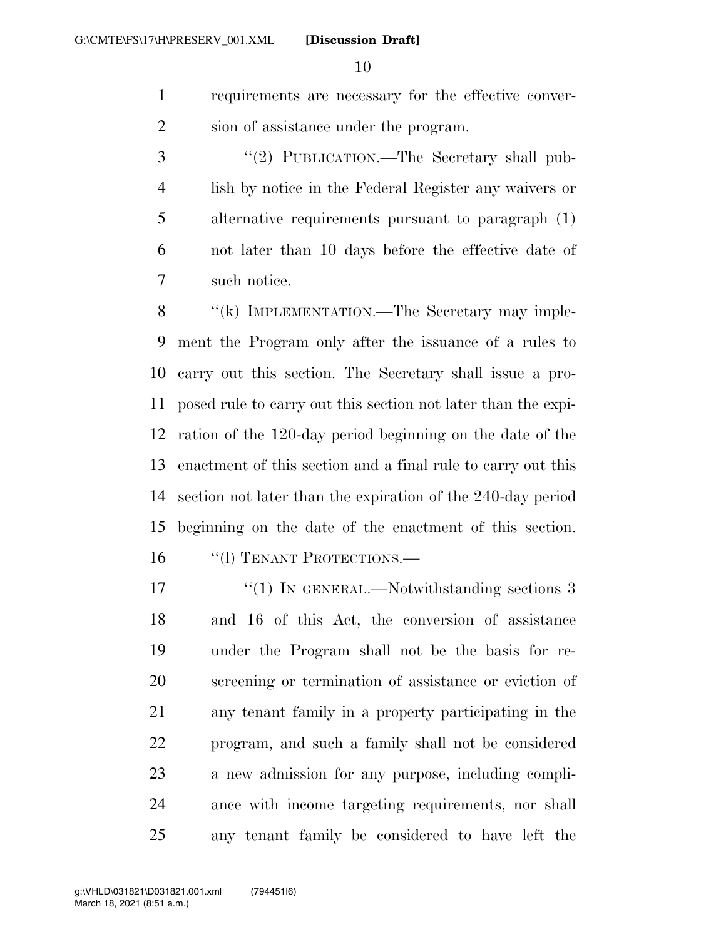- requirements are necessary for the effective conver-sion of assistance under the program.
- 3 "(2) PUBLICATION.—The Secretary shall pub- lish by notice in the Federal Register any waivers or alternative requirements pursuant to paragraph (1) not later than 10 days before the effective date of such notice.

8 "(k) IMPLEMENTATION.—The Secretary may imple- ment the Program only after the issuance of a rules to carry out this section. The Secretary shall issue a pro- posed rule to carry out this section not later than the expi- ration of the 120-day period beginning on the date of the enactment of this section and a final rule to carry out this section not later than the expiration of the 240-day period beginning on the date of the enactment of this section. 16 "(1) TENANT PROTECTIONS.—

17 "(1) IN GENERAL.—Notwithstanding sections 3 and 16 of this Act, the conversion of assistance under the Program shall not be the basis for re- screening or termination of assistance or eviction of any tenant family in a property participating in the program, and such a family shall not be considered a new admission for any purpose, including compli- ance with income targeting requirements, nor shall any tenant family be considered to have left the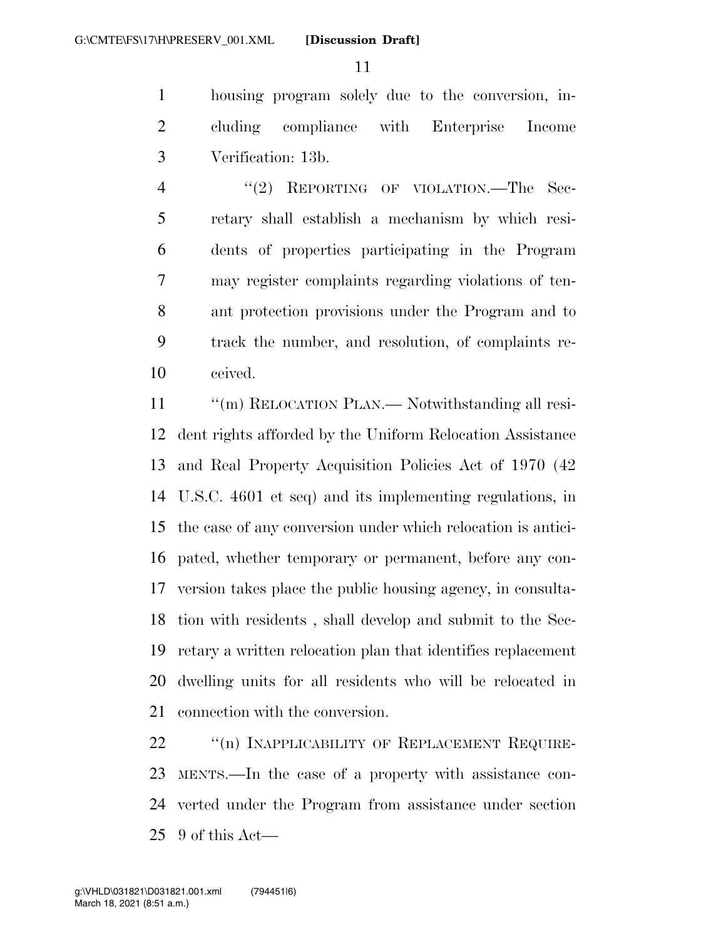housing program solely due to the conversion, in- cluding compliance with Enterprise Income Verification: 13b.

4 "(2) REPORTING OF VIOLATION.—The Sec- retary shall establish a mechanism by which resi- dents of properties participating in the Program may register complaints regarding violations of ten- ant protection provisions under the Program and to track the number, and resolution, of complaints re-ceived.

11 ""(m) RELOCATION PLAN.— Notwithstanding all resi- dent rights afforded by the Uniform Relocation Assistance and Real Property Acquisition Policies Act of 1970 (42 U.S.C. 4601 et seq) and its implementing regulations, in the case of any conversion under which relocation is antici- pated, whether temporary or permanent, before any con- version takes place the public housing agency, in consulta- tion with residents , shall develop and submit to the Sec- retary a written relocation plan that identifies replacement dwelling units for all residents who will be relocated in connection with the conversion.

22 "(n) INAPPLICABILITY OF REPLACEMENT REQUIRE- MENTS.—In the case of a property with assistance con- verted under the Program from assistance under section 9 of this Act—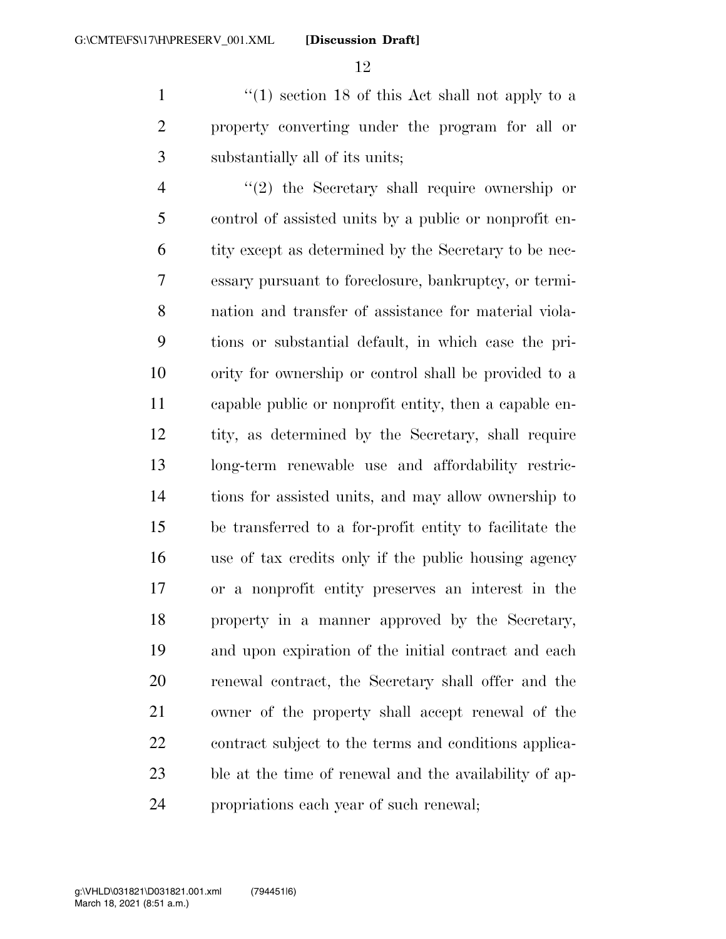1 ''(1) section 18 of this Act shall not apply to a property converting under the program for all or substantially all of its units;

 ''(2) the Secretary shall require ownership or control of assisted units by a public or nonprofit en- tity except as determined by the Secretary to be nec- essary pursuant to foreclosure, bankruptcy, or termi- nation and transfer of assistance for material viola- tions or substantial default, in which case the pri- ority for ownership or control shall be provided to a capable public or nonprofit entity, then a capable en- tity, as determined by the Secretary, shall require long-term renewable use and affordability restric- tions for assisted units, and may allow ownership to be transferred to a for-profit entity to facilitate the use of tax credits only if the public housing agency or a nonprofit entity preserves an interest in the property in a manner approved by the Secretary, and upon expiration of the initial contract and each renewal contract, the Secretary shall offer and the owner of the property shall accept renewal of the contract subject to the terms and conditions applica- ble at the time of renewal and the availability of ap-propriations each year of such renewal;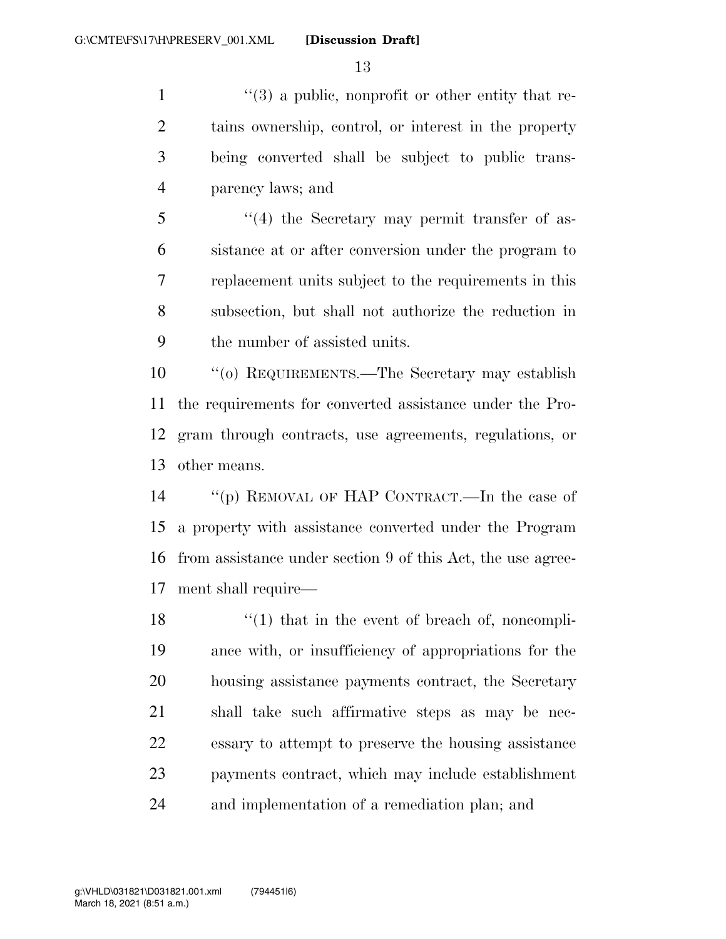1 ''(3) a public, nonprofit or other entity that re- tains ownership, control, or interest in the property being converted shall be subject to public trans-parency laws; and

 ''(4) the Secretary may permit transfer of as- sistance at or after conversion under the program to replacement units subject to the requirements in this subsection, but shall not authorize the reduction in the number of assisted units.

 ''(o) REQUIREMENTS.—The Secretary may establish the requirements for converted assistance under the Pro- gram through contracts, use agreements, regulations, or other means.

 ''(p) REMOVAL OF HAP CONTRACT.—In the case of a property with assistance converted under the Program from assistance under section 9 of this Act, the use agree-ment shall require—

18 ''(1) that in the event of breach of, noncompli- ance with, or insufficiency of appropriations for the housing assistance payments contract, the Secretary shall take such affirmative steps as may be nec- essary to attempt to preserve the housing assistance payments contract, which may include establishment and implementation of a remediation plan; and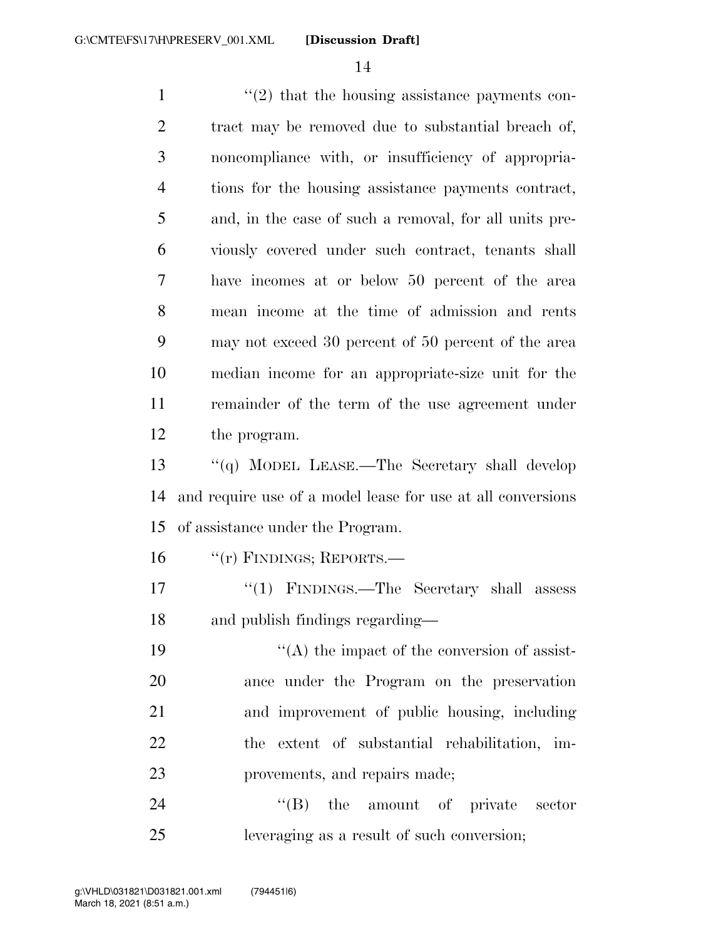$\frac{1}{2}$  ''(2) that the housing assistance payments con- tract may be removed due to substantial breach of, noncompliance with, or insufficiency of appropria- tions for the housing assistance payments contract, and, in the case of such a removal, for all units pre- viously covered under such contract, tenants shall have incomes at or below 50 percent of the area mean income at the time of admission and rents may not exceed 30 percent of 50 percent of the area median income for an appropriate-size unit for the remainder of the term of the use agreement under the program. ''(q) MODEL LEASE.—The Secretary shall develop and require use of a model lease for use at all conversions of assistance under the Program. 16 "(r) FINDINGS; REPORTS.— 17 "(1) FINDINGS.—The Secretary shall assess and publish findings regarding—  $((A)$  the impact of the conversion of assist- ance under the Program on the preservation and improvement of public housing, including the extent of substantial rehabilitation, im-provements, and repairs made;

24 "(B) the amount of private sector leveraging as a result of such conversion;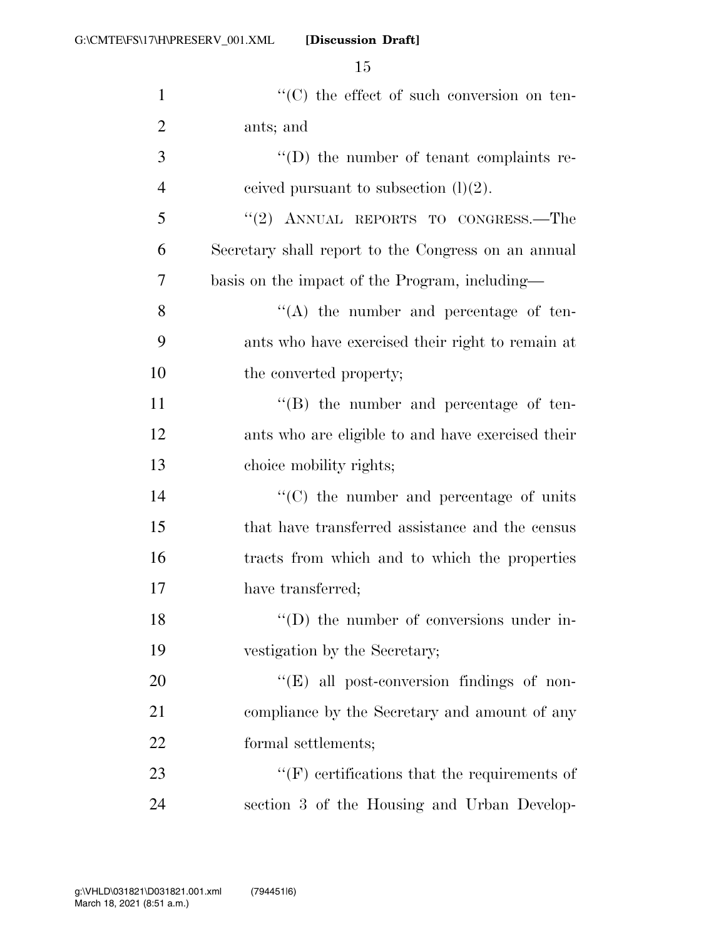**[Discussion Draft]** 

| $\mathbf{1}$   | "(C) the effect of such conversion on ten-          |
|----------------|-----------------------------------------------------|
| $\overline{2}$ | ants; and                                           |
| 3              | $\lq\lq$ the number of tenant complaints re-        |
| $\overline{4}$ | ceived pursuant to subsection $(l)(2)$ .            |
| 5              | "(2) ANNUAL REPORTS TO CONGRESS.—The                |
| 6              | Secretary shall report to the Congress on an annual |
| 7              | basis on the impact of the Program, including—      |
| 8              | $\lq\lq$ the number and percentage of ten-          |
| 9              | ants who have exercised their right to remain at    |
| 10             | the converted property;                             |
| 11             | $\lq\lq$ the number and percentage of ten-          |
| 12             | ants who are eligible to and have exercised their   |
| 13             | choice mobility rights;                             |
| 14             | "(C) the number and percentage of units             |
| 15             | that have transferred assistance and the census     |
| 16             | tracts from which and to which the properties       |
| 17             | have transferred;                                   |
| 18             | $\lq\lq$ (D) the number of conversions under in-    |
| 19             | vestigation by the Secretary;                       |
| 20             | "(E) all post-conversion findings of non-           |
| 21             | compliance by the Secretary and amount of any       |
| 22             | formal settlements;                                 |
| 23             | $\lq\lq(F)$ certifications that the requirements of |
| 24             | section 3 of the Housing and Urban Develop-         |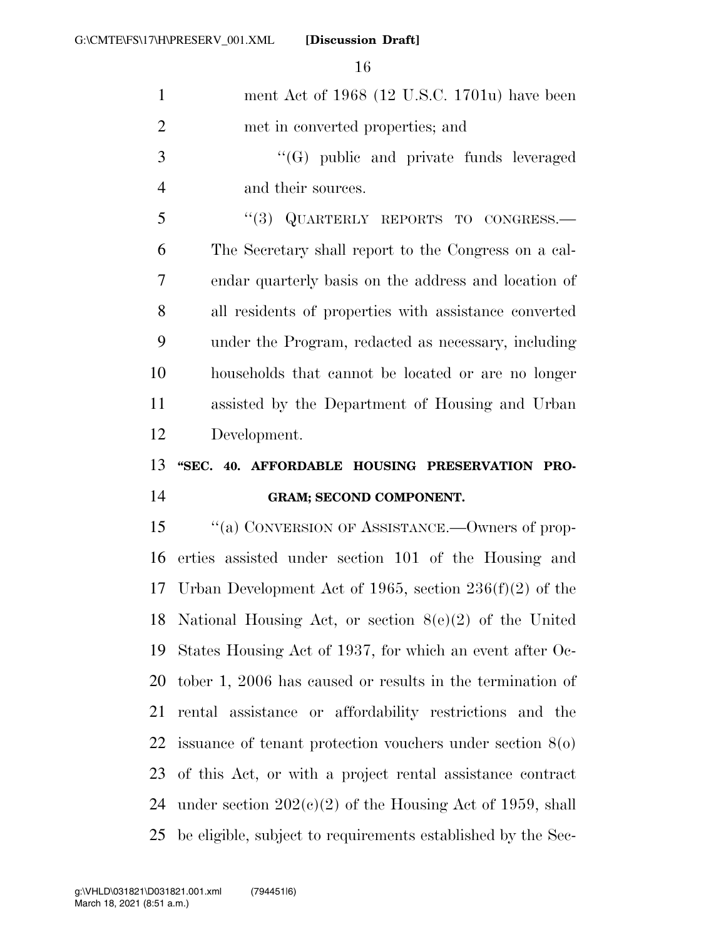| $\mathbf{1}$   | ment Act of $1968$ (12 U.S.C. 1701u) have been              |
|----------------|-------------------------------------------------------------|
| $\overline{2}$ | met in converted properties; and                            |
| 3              | $\lq\lq(G)$ public and private funds leveraged              |
| $\overline{4}$ | and their sources.                                          |
| 5              | "(3) QUARTERLY REPORTS TO CONGRESS.-                        |
| 6              | The Secretary shall report to the Congress on a cal-        |
| 7              | endar quarterly basis on the address and location of        |
| 8              | all residents of properties with assistance converted       |
| 9              | under the Program, redacted as necessary, including         |
| 10             | households that cannot be located or are no longer          |
| 11             | assisted by the Department of Housing and Urban             |
| 12             | Development.                                                |
|                |                                                             |
| 13             | "SEC. 40. AFFORDABLE HOUSING PRESERVATION PRO-              |
| 14             | GRAM; SECOND COMPONENT.                                     |
| 15             | "(a) CONVERSION OF ASSISTANCE.—Owners of prop-              |
| 16             | erties assisted under section 101 of the Housing and        |
| 17             | Urban Development Act of 1965, section $236(f)(2)$ of the   |
| 18             | National Housing Act, or section $8(e)(2)$ of the United    |
| 19             | States Housing Act of 1937, for which an event after Oc-    |
| 20             | tober 1, 2006 has caused or results in the termination of   |
| 21             | rental assistance or affordability restrictions and the     |
| 22             | issuance of tenant protection vouchers under section $8(0)$ |
| 23             | of this Act, or with a project rental assistance contract   |
| 24             | under section $202(c)(2)$ of the Housing Act of 1959, shall |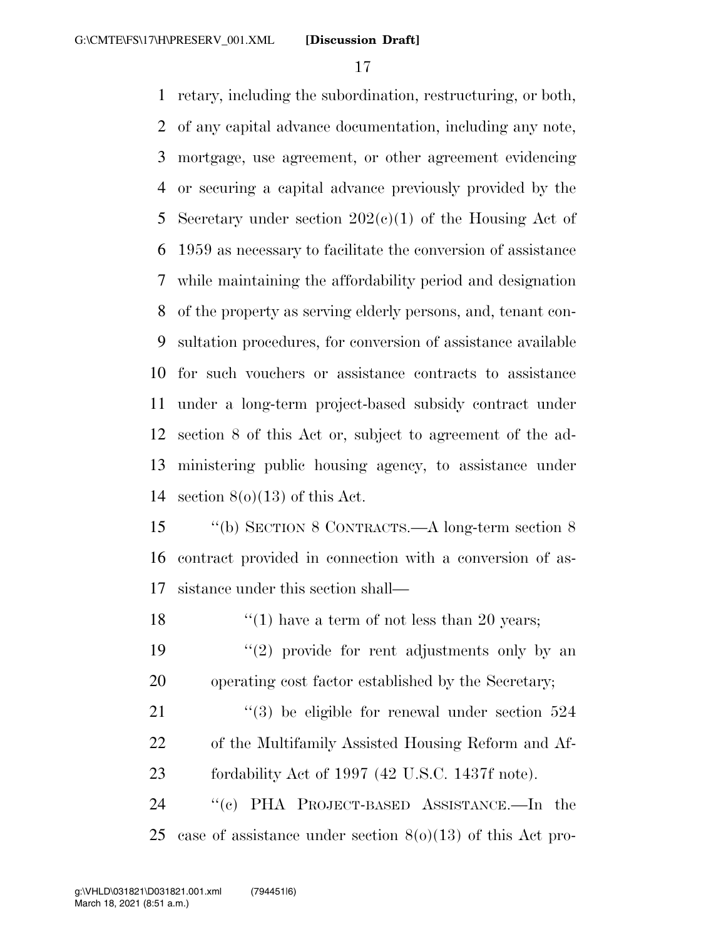retary, including the subordination, restructuring, or both, of any capital advance documentation, including any note, mortgage, use agreement, or other agreement evidencing or securing a capital advance previously provided by the 5 Secretary under section  $202(e)(1)$  of the Housing Act of 1959 as necessary to facilitate the conversion of assistance while maintaining the affordability period and designation of the property as serving elderly persons, and, tenant con- sultation procedures, for conversion of assistance available for such vouchers or assistance contracts to assistance under a long-term project-based subsidy contract under section 8 of this Act or, subject to agreement of the ad- ministering public housing agency, to assistance under 14 section  $8(0)(13)$  of this Act.

 ''(b) SECTION 8 CONTRACTS.—A long-term section 8 contract provided in connection with a conversion of as-sistance under this section shall—

18  $\frac{1}{2}$  (1) have a term of not less than 20 years;

19  $(2)$  provide for rent adjustments only by an operating cost factor established by the Secretary;

21 ''(3) be eligible for renewal under section 524 of the Multifamily Assisted Housing Reform and Af-fordability Act of 1997 (42 U.S.C. 1437f note).

 ''(c) PHA PROJECT-BASED ASSISTANCE.—In the case of assistance under section 8(o)(13) of this Act pro-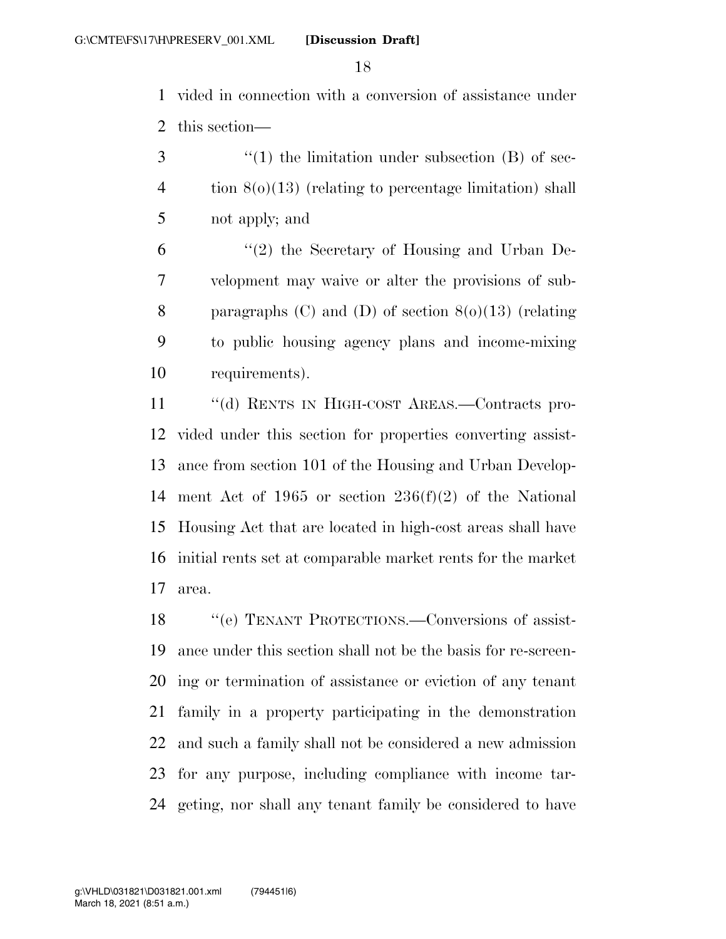vided in connection with a conversion of assistance under this section—

3 (1) the limitation under subsection (B) of sec-4 tion  $8(0)(13)$  (relating to percentage limitation) shall not apply; and

 ''(2) the Secretary of Housing and Urban De- velopment may waive or alter the provisions of sub- paragraphs (C) and (D) of section 8(o)(13) (relating to public housing agency plans and income-mixing requirements).

 ''(d) RENTS IN HIGH-COST AREAS.—Contracts pro- vided under this section for properties converting assist- ance from section 101 of the Housing and Urban Develop- ment Act of 1965 or section 236(f)(2) of the National Housing Act that are located in high-cost areas shall have initial rents set at comparable market rents for the market area.

18 "'(e) TENANT PROTECTIONS.—Conversions of assist- ance under this section shall not be the basis for re-screen- ing or termination of assistance or eviction of any tenant family in a property participating in the demonstration and such a family shall not be considered a new admission for any purpose, including compliance with income tar-geting, nor shall any tenant family be considered to have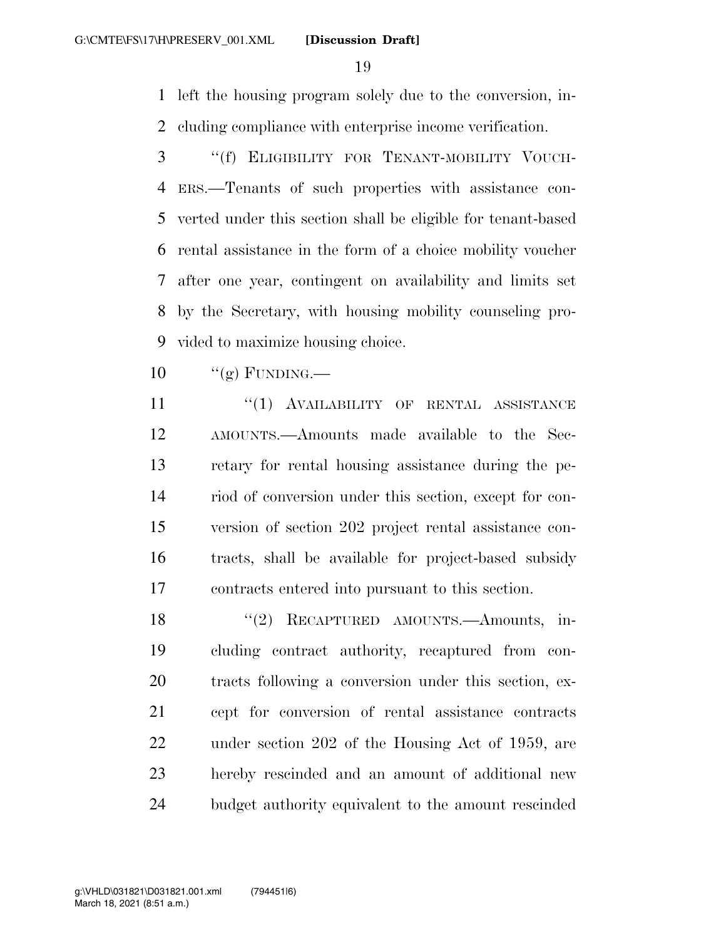left the housing program solely due to the conversion, in-cluding compliance with enterprise income verification.

- ''(f) ELIGIBILITY FOR TENANT-MOBILITY VOUCH- ERS.—Tenants of such properties with assistance con- verted under this section shall be eligible for tenant-based rental assistance in the form of a choice mobility voucher after one year, contingent on availability and limits set by the Secretary, with housing mobility counseling pro-vided to maximize housing choice.
- $10 \qquad \text{``(g) FUNDING.}$
- **''(1) AVAILABILITY OF RENTAL ASSISTANCE**  AMOUNTS.—Amounts made available to the Sec- retary for rental housing assistance during the pe- riod of conversion under this section, except for con- version of section 202 project rental assistance con- tracts, shall be available for project-based subsidy contracts entered into pursuant to this section.

18 "(2) RECAPTURED AMOUNTS.—Amounts, in- cluding contract authority, recaptured from con- tracts following a conversion under this section, ex- cept for conversion of rental assistance contracts under section 202 of the Housing Act of 1959, are hereby rescinded and an amount of additional new budget authority equivalent to the amount rescinded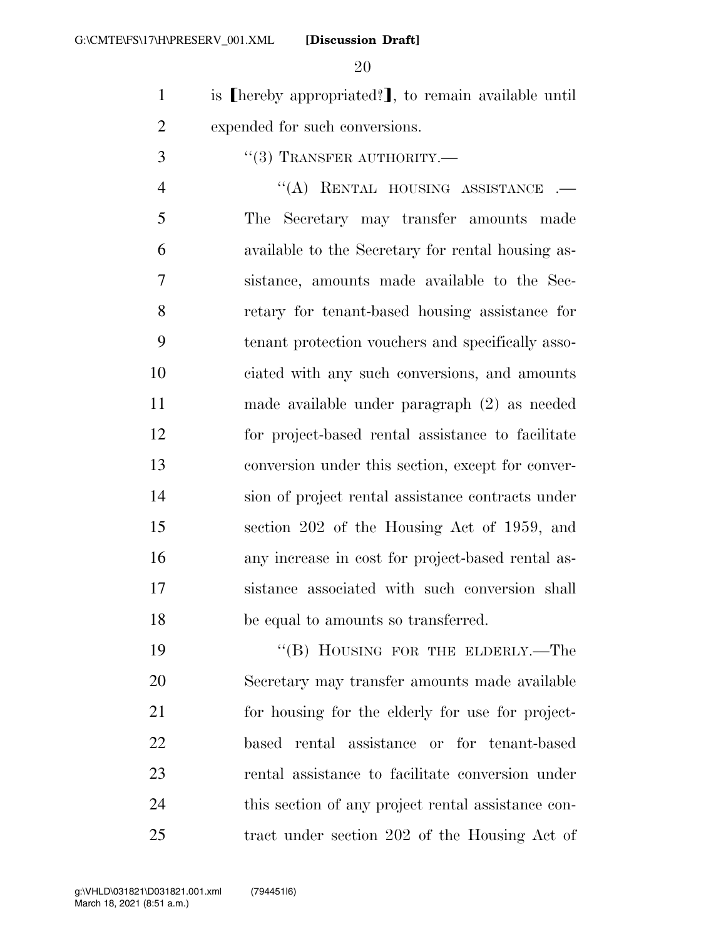- 1 is Thereby appropriated? **1.** to remain available until expended for such conversions.
- $3 \qquad \qquad$  "(3) TRANSFER AUTHORITY.—

4 "(A) RENTAL HOUSING ASSISTANCE .— The Secretary may transfer amounts made available to the Secretary for rental housing as- sistance, amounts made available to the Sec- retary for tenant-based housing assistance for tenant protection vouchers and specifically asso- ciated with any such conversions, and amounts made available under paragraph (2) as needed for project-based rental assistance to facilitate conversion under this section, except for conver- sion of project rental assistance contracts under section 202 of the Housing Act of 1959, and any increase in cost for project-based rental as- sistance associated with such conversion shall be equal to amounts so transferred.

19 "(B) HOUSING FOR THE ELDERLY.—The Secretary may transfer amounts made available for housing for the elderly for use for project- based rental assistance or for tenant-based rental assistance to facilitate conversion under this section of any project rental assistance con-tract under section 202 of the Housing Act of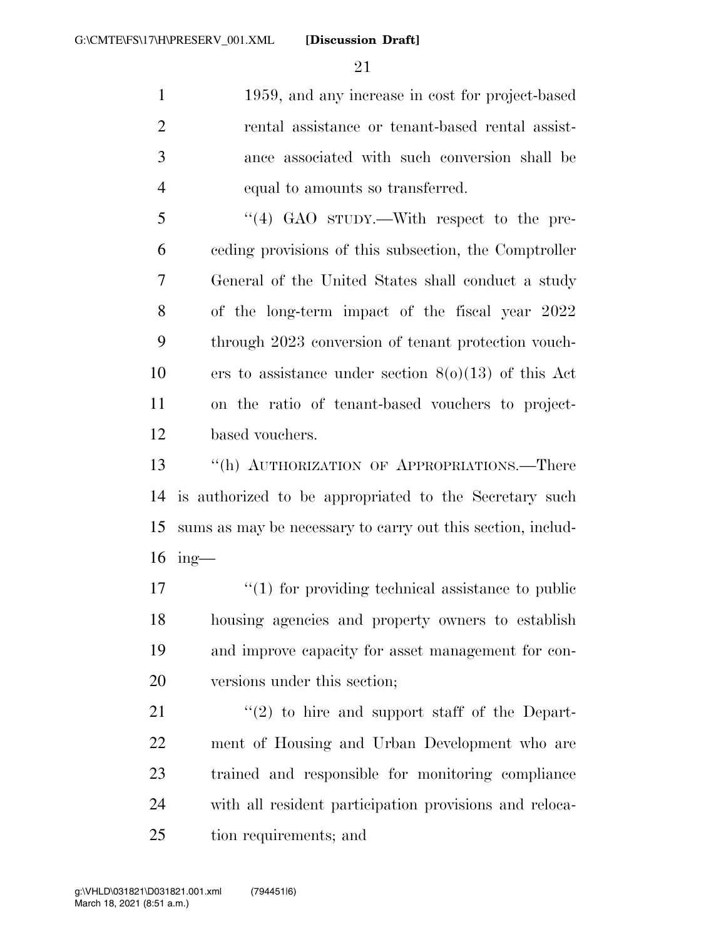**[Discussion Draft]** 

1 1959, and any increase in cost for project-based rental assistance or tenant-based rental assist- ance associated with such conversion shall be equal to amounts so transferred.

5 "(4) GAO STUDY.—With respect to the pre- ceding provisions of this subsection, the Comptroller General of the United States shall conduct a study of the long-term impact of the fiscal year 2022 through 2023 conversion of tenant protection vouch- ers to assistance under section 8(o)(13) of this Act on the ratio of tenant-based vouchers to project-based vouchers.

 ''(h) AUTHORIZATION OF APPROPRIATIONS.—There is authorized to be appropriated to the Secretary such sums as may be necessary to carry out this section, includ-ing—

 $\frac{1}{2}$  (1) for providing technical assistance to public housing agencies and property owners to establish and improve capacity for asset management for con-versions under this section;

 ''(2) to hire and support staff of the Depart- ment of Housing and Urban Development who are trained and responsible for monitoring compliance with all resident participation provisions and reloca-tion requirements; and